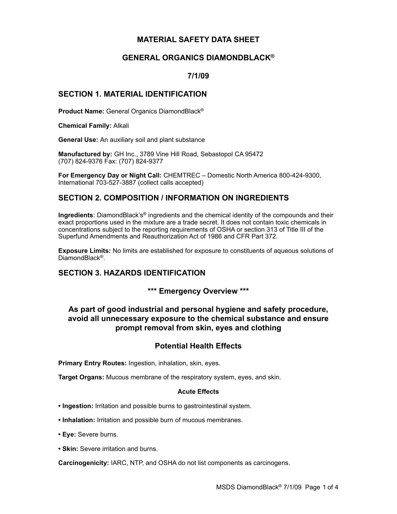## **MATERIAL SAFETY DATA SHEET**

## **GENERAL ORGANICS DIAMONDBLACK®**

## **7/1/09**

## **SECTION 1. MATERIAL IDENTIFICATION**

**Product Name:** General Organics DiamondBlack®

**Chemical Family:** Alkali

**General Use:** An auxiliary soil and plant substance

**Manufactured by:** GH Inc., 3789 Vine Hill Road, Sebastopol CA 95472 (707) 824-9376 Fax: (707) 824-9377

**For Emergency Day or Night Call:** CHEMTREC – Domestic North America 800-424-9300, International 703-527-3887 (collect calls accepted)

# **SECTION 2. COMPOSITION / INFORMATION ON INGREDIENTS**

**Ingredients**: DiamondBlack's® ingredients and the chemical identity of the compounds and their exact proportions used in the mixture are a trade secret. It does not contain toxic chemicals in concentrations subject to the reporting requirements of OSHA or section 313 of Title III of the Superfund Amendments and Reauthorization Act of 1986 and CFR Part 372.

**Exposure Limits:** No limits are established for exposure to constituents of aqueous solutions of DiamondBlack<sup>®</sup>.

# **SECTION 3. HAZARDS IDENTIFICATION**

**\*\*\* Emergency Overview \*\*\***

# **As part of good industrial and personal hygiene and safety procedure, avoid all unnecessary exposure to the chemical substance and ensure prompt removal from skin, eyes and clothing**

## **Potential Health Effects**

**Primary Entry Routes:** Ingestion, inhalation, skin, eyes.

**Target Organs:** Mucous membrane of the respiratory system, eyes, and skin.

#### **Acute Effects**

**• Ingestion:** Irritation and possible burns to gastrointestinal system.

- **Inhalation:** Irritation and possible burn of mucous membranes.
- **Eye:** Severe burns.
- **Skin:** Severe irritation and burns.

**Carcinogenicity:** IARC, NTP, and OSHA do not list components as carcinogens.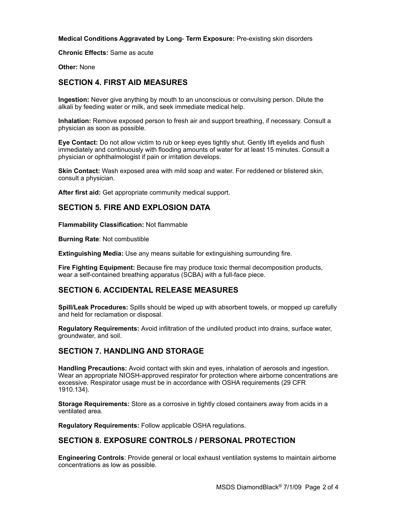**Medical Conditions Aggravated by Long**- **Term Exposure:** Pre-existing skin disorders

**Chronic Effects:** Same as acute

**Other:** None

## **SECTION 4. FIRST AID MEASURES**

**Ingestion:** Never give anything by mouth to an unconscious or convulsing person. Dilute the alkali by feeding water or milk, and seek immediate medical help.

**Inhalation:** Remove exposed person to fresh air and support breathing, if necessary. Consult a physician as soon as possible.

**Eye Contact:** Do not allow victim to rub or keep eyes tightly shut. Gently lift eyelids and flush immediately and continuously with flooding amounts of water for at least 15 minutes. Consult a physician or ophthalmologist if pain or irritation develops.

**Skin Contact:** Wash exposed area with mild soap and water. For reddened or blistered skin, consult a physician.

**After first aid:** Get appropriate community medical support.

## **SECTION 5. FIRE AND EXPLOSION DATA**

**Flammability Classification:** Not flammable

**Burning Rate**: Not combustible

**Extinguishing Media:** Use any means suitable for extinguishing surrounding fire.

**Fire Fighting Equipment:** Because fire may produce toxic thermal decomposition products, wear a self-contained breathing apparatus (SCBA) with a full-face piece.

## **SECTION 6. ACCIDENTAL RELEASE MEASURES**

**Spill/Leak Procedures:** Spills should be wiped up with absorbent towels, or mopped up carefully and held for reclamation or disposal.

**Regulatory Requirements:** Avoid infiltration of the undiluted product into drains, surface water, groundwater, and soil.

## **SECTION 7. HANDLING AND STORAGE**

**Handling Precautions:** Avoid contact with skin and eyes, inhalation of aerosols and ingestion. Wear an appropriate NIOSH-approved respirator for protection where airborne concentrations are excessive. Respirator usage must be in accordance with OSHA requirements (29 CFR 1910.134).

**Storage Requirements:** Store as a corrosive in tightly closed containers away from acids in a ventilated area.

**Regulatory Requirements:** Follow applicable OSHA regulations.

## **SECTION 8. EXPOSURE CONTROLS / PERSONAL PROTECTION**

**Engineering Controls**: Provide general or local exhaust ventilation systems to maintain airborne concentrations as low as possible.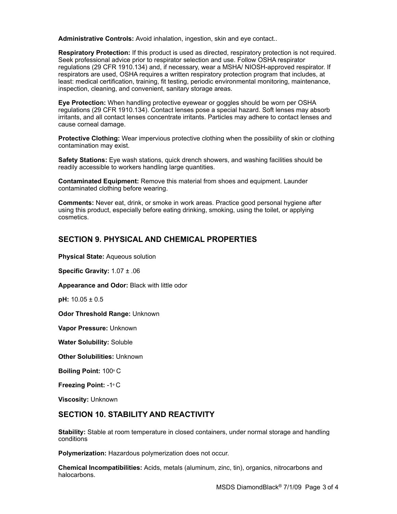**Administrative Controls:** Avoid inhalation, ingestion, skin and eye contact..

**Respiratory Protection:** If this product is used as directed, respiratory protection is not required. Seek professional advice prior to respirator selection and use. Follow OSHA respirator regulations (29 CFR 1910.134) and, if necessary, wear a MSHA/ NIOSH-approved respirator. If respirators are used, OSHA requires a written respiratory protection program that includes, at least: medical certification, training, fit testing, periodic environmental monitoring, maintenance, inspection, cleaning, and convenient, sanitary storage areas.

**Eye Protection:** When handling protective eyewear or goggles should be worn per OSHA regulations (29 CFR 1910.134). Contact lenses pose a special hazard. Soft lenses may absorb irritants, and all contact lenses concentrate irritants. Particles may adhere to contact lenses and cause corneal damage.

**Protective Clothing:** Wear impervious protective clothing when the possibility of skin or clothing contamination may exist.

**Safety Stations:** Eye wash stations, quick drench showers, and washing facilities should be readily accessible to workers handling large quantities.

**Contaminated Equipment:** Remove this material from shoes and equipment. Launder contaminated clothing before wearing.

**Comments:** Never eat, drink, or smoke in work areas. Practice good personal hygiene after using this product, especially before eating drinking, smoking, using the toilet, or applying cosmetics.

## **SECTION 9. PHYSICAL AND CHEMICAL PROPERTIES**

**Physical State:** Aqueous solution

**Specific Gravity:** 1.07 ± .06

**Appearance and Odor:** Black with little odor

**pH:** 10.05 ± 0.5

**Odor Threshold Range:** Unknown

**Vapor Pressure:** Unknown

**Water Solubility:** Soluble

**Other Solubilities:** Unknown

**Boiling Point:** 100º C

**Freezing Point:** -1º C

**Viscosity:** Unknown

## **SECTION 10. STABILITY AND REACTIVITY**

**Stability:** Stable at room temperature in closed containers, under normal storage and handling conditions

**Polymerization:** Hazardous polymerization does not occur.

**Chemical Incompatibilities:** Acids, metals (aluminum, zinc, tin), organics, nitrocarbons and halocarbons.